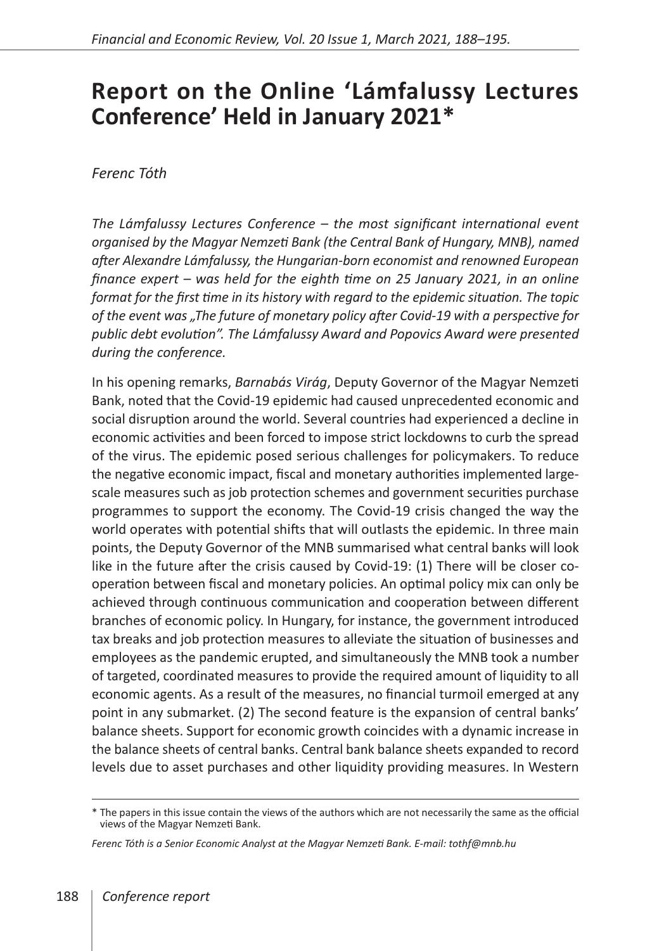## **Report on the Online 'Lámfalussy Lectures Conference' Held in January 2021\***

*Ferenc Tóth*

*The Lámfalussy Lectures Conference – the most significant international event organised by the Magyar Nemzeti Bank (the Central Bank of Hungary, MNB), named after Alexandre Lámfalussy, the Hungarian-born economist and renowned European finance expert – was held for the eighth time on 25 January 2021, in an online format for the first time in its history with regard to the epidemic situation. The topic of the event was "The future of monetary policy after Covid-19 with a perspective for public debt evolution". The Lámfalussy Award and Popovics Award were presented during the conference.* 

In his opening remarks, *Barnabás Virág*, Deputy Governor of the Magyar Nemzeti Bank, noted that the Covid-19 epidemic had caused unprecedented economic and social disruption around the world. Several countries had experienced a decline in economic activities and been forced to impose strict lockdowns to curb the spread of the virus. The epidemic posed serious challenges for policymakers. To reduce the negative economic impact, fiscal and monetary authorities implemented largescale measures such as job protection schemes and government securities purchase programmes to support the economy. The Covid-19 crisis changed the way the world operates with potential shifts that will outlasts the epidemic. In three main points, the Deputy Governor of the MNB summarised what central banks will look like in the future after the crisis caused by Covid-19: (1) There will be closer cooperation between fiscal and monetary policies. An optimal policy mix can only be achieved through continuous communication and cooperation between different branches of economic policy. In Hungary, for instance, the government introduced tax breaks and job protection measures to alleviate the situation of businesses and employees as the pandemic erupted, and simultaneously the MNB took a number of targeted, coordinated measures to provide the required amount of liquidity to all economic agents. As a result of the measures, no financial turmoil emerged at any point in any submarket. (2) The second feature is the expansion of central banks' balance sheets. Support for economic growth coincides with a dynamic increase in the balance sheets of central banks. Central bank balance sheets expanded to record levels due to asset purchases and other liquidity providing measures. In Western

<sup>\*</sup> The papers in this issue contain the views of the authors which are not necessarily the same as the official views of the Magyar Nemzeti Bank.

*Ferenc Tóth is a Senior Economic Analyst at the Magyar Nemzeti Bank. E-mail: tothf@mnb.hu*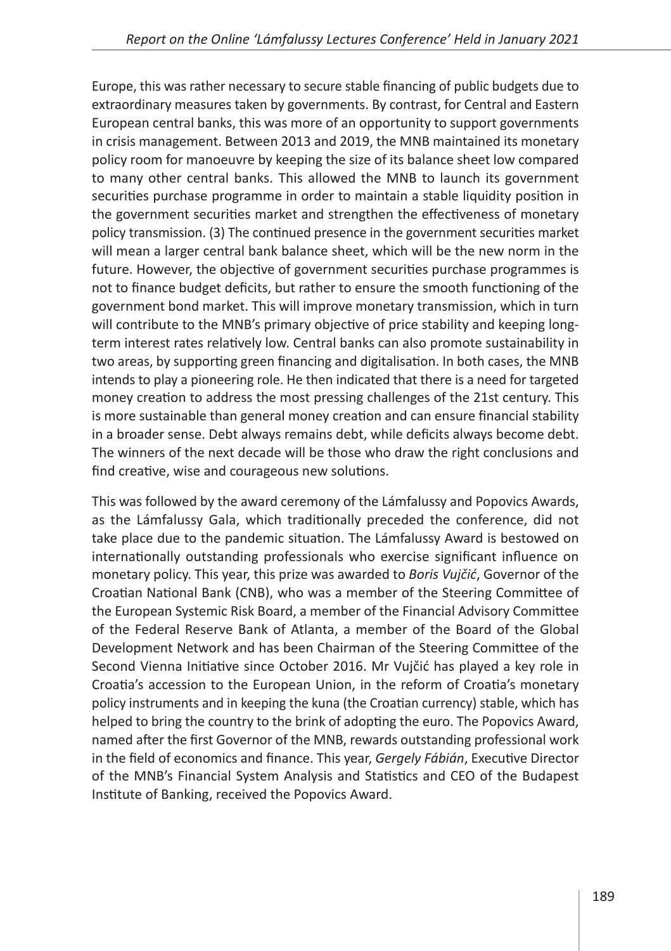Europe, this was rather necessary to secure stable financing of public budgets due to extraordinary measures taken by governments. By contrast, for Central and Eastern European central banks, this was more of an opportunity to support governments in crisis management. Between 2013 and 2019, the MNB maintained its monetary policy room for manoeuvre by keeping the size of its balance sheet low compared to many other central banks. This allowed the MNB to launch its government securities purchase programme in order to maintain a stable liquidity position in the government securities market and strengthen the effectiveness of monetary policy transmission. (3) The continued presence in the government securities market will mean a larger central bank balance sheet, which will be the new norm in the future. However, the objective of government securities purchase programmes is not to finance budget deficits, but rather to ensure the smooth functioning of the government bond market. This will improve monetary transmission, which in turn will contribute to the MNB's primary objective of price stability and keeping longterm interest rates relatively low. Central banks can also promote sustainability in two areas, by supporting green financing and digitalisation. In both cases, the MNB intends to play a pioneering role. He then indicated that there is a need for targeted money creation to address the most pressing challenges of the 21st century. This is more sustainable than general money creation and can ensure financial stability in a broader sense. Debt always remains debt, while deficits always become debt. The winners of the next decade will be those who draw the right conclusions and find creative, wise and courageous new solutions.

This was followed by the award ceremony of the Lámfalussy and Popovics Awards, as the Lámfalussy Gala, which traditionally preceded the conference, did not take place due to the pandemic situation. The Lámfalussy Award is bestowed on internationally outstanding professionals who exercise significant influence on monetary policy. This year, this prize was awarded to *Boris Vujčić*, Governor of the Croatian National Bank (CNB), who was a member of the Steering Committee of the European Systemic Risk Board, a member of the Financial Advisory Committee of the Federal Reserve Bank of Atlanta, a member of the Board of the Global Development Network and has been Chairman of the Steering Committee of the Second Vienna Initiative since October 2016. Mr Vujčić has played a key role in Croatia's accession to the European Union, in the reform of Croatia's monetary policy instruments and in keeping the kuna (the Croatian currency) stable, which has helped to bring the country to the brink of adopting the euro. The Popovics Award, named after the first Governor of the MNB, rewards outstanding professional work in the field of economics and finance. This year, *Gergely Fábián*, Executive Director of the MNB's Financial System Analysis and Statistics and CEO of the Budapest Institute of Banking, received the Popovics Award.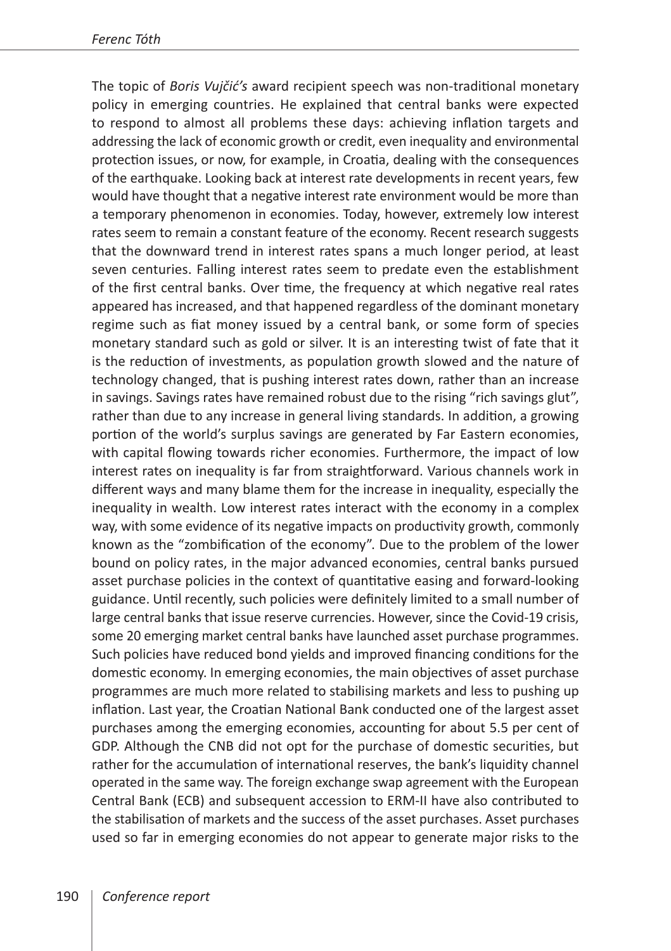The topic of *Boris Vujčić's* award recipient speech was non-traditional monetary policy in emerging countries. He explained that central banks were expected to respond to almost all problems these days: achieving inflation targets and addressing the lack of economic growth or credit, even inequality and environmental protection issues, or now, for example, in Croatia, dealing with the consequences of the earthquake. Looking back at interest rate developments in recent years, few would have thought that a negative interest rate environment would be more than a temporary phenomenon in economies. Today, however, extremely low interest rates seem to remain a constant feature of the economy. Recent research suggests that the downward trend in interest rates spans a much longer period, at least seven centuries. Falling interest rates seem to predate even the establishment of the first central banks. Over time, the frequency at which negative real rates appeared has increased, and that happened regardless of the dominant monetary regime such as fiat money issued by a central bank, or some form of species monetary standard such as gold or silver. It is an interesting twist of fate that it is the reduction of investments, as population growth slowed and the nature of technology changed, that is pushing interest rates down, rather than an increase in savings. Savings rates have remained robust due to the rising "rich savings glut", rather than due to any increase in general living standards. In addition, a growing portion of the world's surplus savings are generated by Far Eastern economies, with capital flowing towards richer economies. Furthermore, the impact of low interest rates on inequality is far from straightforward. Various channels work in different ways and many blame them for the increase in inequality, especially the inequality in wealth. Low interest rates interact with the economy in a complex way, with some evidence of its negative impacts on productivity growth, commonly known as the "zombification of the economy". Due to the problem of the lower bound on policy rates, in the major advanced economies, central banks pursued asset purchase policies in the context of quantitative easing and forward-looking guidance. Until recently, such policies were definitely limited to a small number of large central banks that issue reserve currencies. However, since the Covid-19 crisis, some 20 emerging market central banks have launched asset purchase programmes. Such policies have reduced bond yields and improved financing conditions for the domestic economy. In emerging economies, the main objectives of asset purchase programmes are much more related to stabilising markets and less to pushing up inflation. Last year, the Croatian National Bank conducted one of the largest asset purchases among the emerging economies, accounting for about 5.5 per cent of GDP. Although the CNB did not opt for the purchase of domestic securities, but rather for the accumulation of international reserves, the bank's liquidity channel operated in the same way. The foreign exchange swap agreement with the European Central Bank (ECB) and subsequent accession to ERM-II have also contributed to the stabilisation of markets and the success of the asset purchases. Asset purchases used so far in emerging economies do not appear to generate major risks to the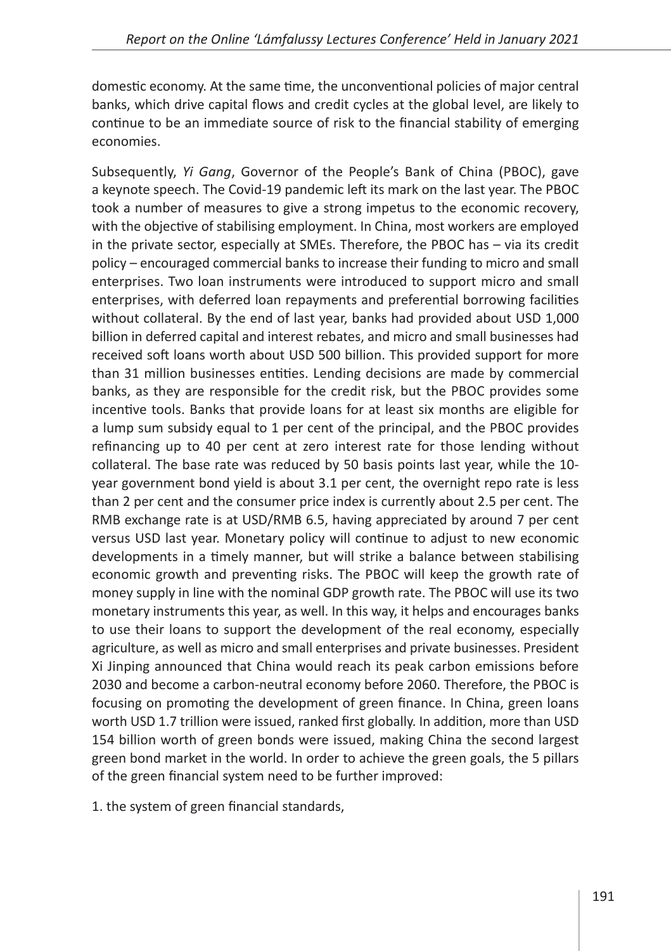domestic economy. At the same time, the unconventional policies of major central banks, which drive capital flows and credit cycles at the global level, are likely to continue to be an immediate source of risk to the financial stability of emerging economies.

Subsequently, *Yi Gang*, Governor of the People's Bank of China (PBOC), gave a keynote speech. The Covid-19 pandemic left its mark on the last year. The PBOC took a number of measures to give a strong impetus to the economic recovery, with the objective of stabilising employment. In China, most workers are employed in the private sector, especially at SMEs. Therefore, the PBOC has – via its credit policy – encouraged commercial banks to increase their funding to micro and small enterprises. Two loan instruments were introduced to support micro and small enterprises, with deferred loan repayments and preferential borrowing facilities without collateral. By the end of last year, banks had provided about USD 1,000 billion in deferred capital and interest rebates, and micro and small businesses had received soft loans worth about USD 500 billion. This provided support for more than 31 million businesses entities. Lending decisions are made by commercial banks, as they are responsible for the credit risk, but the PBOC provides some incentive tools. Banks that provide loans for at least six months are eligible for a lump sum subsidy equal to 1 per cent of the principal, and the PBOC provides refinancing up to 40 per cent at zero interest rate for those lending without collateral. The base rate was reduced by 50 basis points last year, while the 10 year government bond yield is about 3.1 per cent, the overnight repo rate is less than 2 per cent and the consumer price index is currently about 2.5 per cent. The RMB exchange rate is at USD/RMB 6.5, having appreciated by around 7 per cent versus USD last year. Monetary policy will continue to adjust to new economic developments in a timely manner, but will strike a balance between stabilising economic growth and preventing risks. The PBOC will keep the growth rate of money supply in line with the nominal GDP growth rate. The PBOC will use its two monetary instruments this year, as well. In this way, it helps and encourages banks to use their loans to support the development of the real economy, especially agriculture, as well as micro and small enterprises and private businesses. President Xi Jinping announced that China would reach its peak carbon emissions before 2030 and become a carbon-neutral economy before 2060. Therefore, the PBOC is focusing on promoting the development of green finance. In China, green loans worth USD 1.7 trillion were issued, ranked first globally. In addition, more than USD 154 billion worth of green bonds were issued, making China the second largest green bond market in the world. In order to achieve the green goals, the 5 pillars of the green financial system need to be further improved:

1. the system of green financial standards,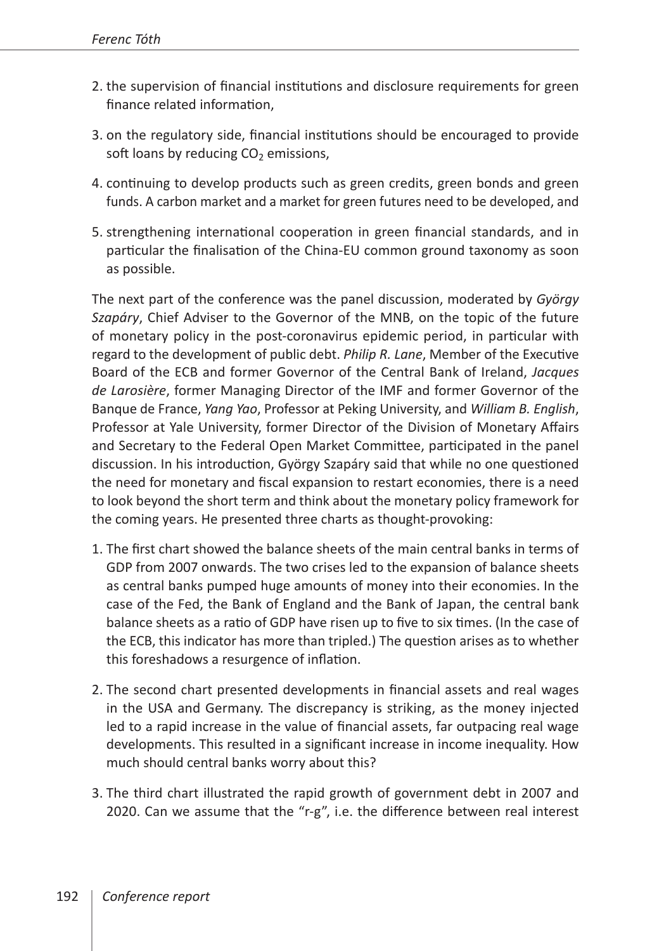- 2. the supervision of financial institutions and disclosure requirements for green finance related information,
- 3. on the regulatory side, financial institutions should be encouraged to provide soft loans by reducing  $CO<sub>2</sub>$  emissions,
- 4. continuing to develop products such as green credits, green bonds and green funds. A carbon market and a market for green futures need to be developed, and
- 5. strengthening international cooperation in green financial standards, and in particular the finalisation of the China-EU common ground taxonomy as soon as possible.

The next part of the conference was the panel discussion, moderated by *György Szapáry*, Chief Adviser to the Governor of the MNB, on the topic of the future of monetary policy in the post-coronavirus epidemic period, in particular with regard to the development of public debt. *Philip R. Lane*, Member of the Executive Board of the ECB and former Governor of the Central Bank of Ireland, *Jacques de Larosière*, former Managing Director of the IMF and former Governor of the Banque de France, *Yang Yao*, Professor at Peking University, and *William B. English*, Professor at Yale University, former Director of the Division of Monetary Affairs and Secretary to the Federal Open Market Committee, participated in the panel discussion. In his introduction, György Szapáry said that while no one questioned the need for monetary and fiscal expansion to restart economies, there is a need to look beyond the short term and think about the monetary policy framework for the coming years. He presented three charts as thought-provoking:

- 1. The first chart showed the balance sheets of the main central banks in terms of GDP from 2007 onwards. The two crises led to the expansion of balance sheets as central banks pumped huge amounts of money into their economies. In the case of the Fed, the Bank of England and the Bank of Japan, the central bank balance sheets as a ratio of GDP have risen up to five to six times. (In the case of the ECB, this indicator has more than tripled.) The question arises as to whether this foreshadows a resurgence of inflation.
- 2. The second chart presented developments in financial assets and real wages in the USA and Germany. The discrepancy is striking, as the money injected led to a rapid increase in the value of financial assets, far outpacing real wage developments. This resulted in a significant increase in income inequality. How much should central banks worry about this?
- 3. The third chart illustrated the rapid growth of government debt in 2007 and 2020. Can we assume that the "r-g", i.e. the difference between real interest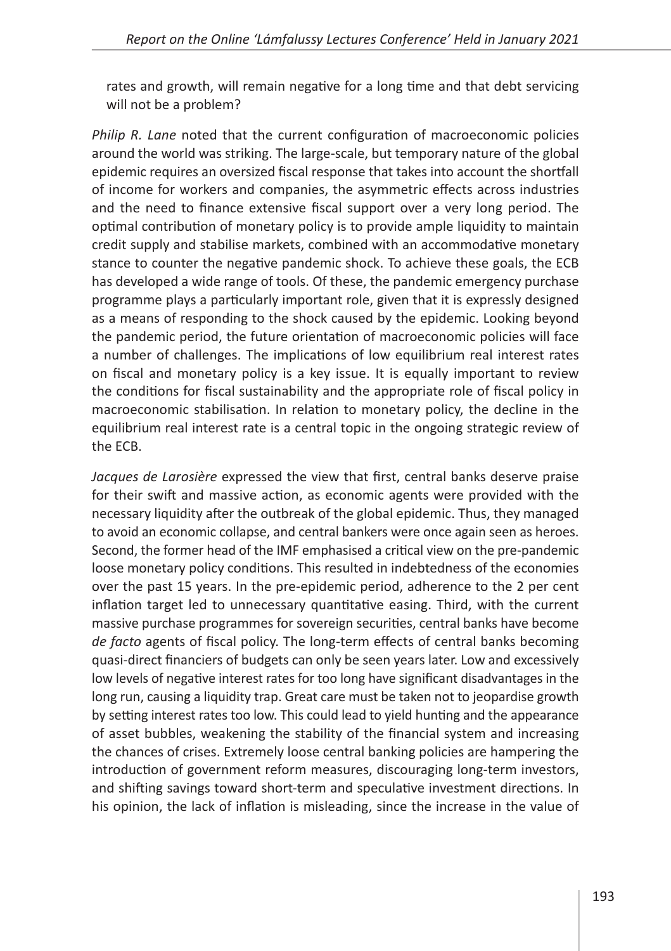rates and growth, will remain negative for a long time and that debt servicing will not be a problem?

*Philip R. Lane* noted that the current configuration of macroeconomic policies around the world was striking. The large-scale, but temporary nature of the global epidemic requires an oversized fiscal response that takes into account the shortfall of income for workers and companies, the asymmetric effects across industries and the need to finance extensive fiscal support over a very long period. The optimal contribution of monetary policy is to provide ample liquidity to maintain credit supply and stabilise markets, combined with an accommodative monetary stance to counter the negative pandemic shock. To achieve these goals, the ECB has developed a wide range of tools. Of these, the pandemic emergency purchase programme plays a particularly important role, given that it is expressly designed as a means of responding to the shock caused by the epidemic. Looking beyond the pandemic period, the future orientation of macroeconomic policies will face a number of challenges. The implications of low equilibrium real interest rates on fiscal and monetary policy is a key issue. It is equally important to review the conditions for fiscal sustainability and the appropriate role of fiscal policy in macroeconomic stabilisation. In relation to monetary policy, the decline in the equilibrium real interest rate is a central topic in the ongoing strategic review of the ECB.

*Jacques de Larosière* expressed the view that first, central banks deserve praise for their swift and massive action, as economic agents were provided with the necessary liquidity after the outbreak of the global epidemic. Thus, they managed to avoid an economic collapse, and central bankers were once again seen as heroes. Second, the former head of the IMF emphasised a critical view on the pre-pandemic loose monetary policy conditions. This resulted in indebtedness of the economies over the past 15 years. In the pre-epidemic period, adherence to the 2 per cent inflation target led to unnecessary quantitative easing. Third, with the current massive purchase programmes for sovereign securities, central banks have become *de facto* agents of fiscal policy. The long-term effects of central banks becoming quasi-direct financiers of budgets can only be seen years later. Low and excessively low levels of negative interest rates for too long have significant disadvantages in the long run, causing a liquidity trap. Great care must be taken not to jeopardise growth by setting interest rates too low. This could lead to yield hunting and the appearance of asset bubbles, weakening the stability of the financial system and increasing the chances of crises. Extremely loose central banking policies are hampering the introduction of government reform measures, discouraging long-term investors, and shifting savings toward short-term and speculative investment directions. In his opinion, the lack of inflation is misleading, since the increase in the value of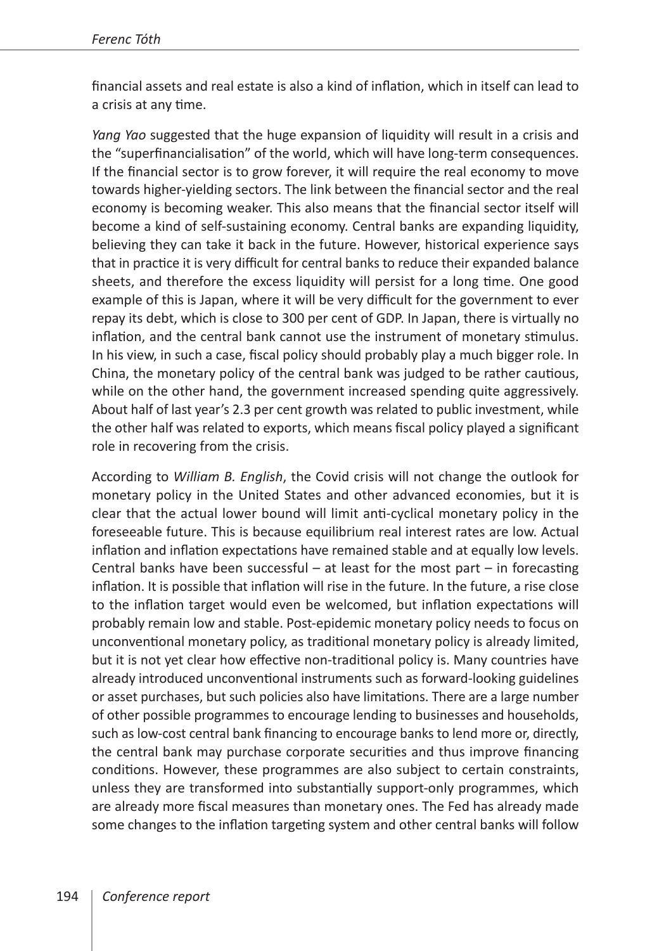financial assets and real estate is also a kind of inflation, which in itself can lead to a crisis at any time.

*Yang Yao* suggested that the huge expansion of liquidity will result in a crisis and the "superfinancialisation" of the world, which will have long-term consequences. If the financial sector is to grow forever, it will require the real economy to move towards higher-yielding sectors. The link between the financial sector and the real economy is becoming weaker. This also means that the financial sector itself will become a kind of self-sustaining economy. Central banks are expanding liquidity, believing they can take it back in the future. However, historical experience says that in practice it is very difficult for central banks to reduce their expanded balance sheets, and therefore the excess liquidity will persist for a long time. One good example of this is Japan, where it will be very difficult for the government to ever repay its debt, which is close to 300 per cent of GDP. In Japan, there is virtually no inflation, and the central bank cannot use the instrument of monetary stimulus. In his view, in such a case, fiscal policy should probably play a much bigger role. In China, the monetary policy of the central bank was judged to be rather cautious, while on the other hand, the government increased spending quite aggressively. About half of last year's 2.3 per cent growth was related to public investment, while the other half was related to exports, which means fiscal policy played a significant role in recovering from the crisis.

According to *William B. English*, the Covid crisis will not change the outlook for monetary policy in the United States and other advanced economies, but it is clear that the actual lower bound will limit anti-cyclical monetary policy in the foreseeable future. This is because equilibrium real interest rates are low. Actual inflation and inflation expectations have remained stable and at equally low levels. Central banks have been successful  $-$  at least for the most part  $-$  in forecasting inflation. It is possible that inflation will rise in the future. In the future, a rise close to the inflation target would even be welcomed, but inflation expectations will probably remain low and stable. Post-epidemic monetary policy needs to focus on unconventional monetary policy, as traditional monetary policy is already limited, but it is not yet clear how effective non-traditional policy is. Many countries have already introduced unconventional instruments such as forward-looking guidelines or asset purchases, but such policies also have limitations. There are a large number of other possible programmes to encourage lending to businesses and households, such as low-cost central bank financing to encourage banks to lend more or, directly, the central bank may purchase corporate securities and thus improve financing conditions. However, these programmes are also subject to certain constraints, unless they are transformed into substantially support-only programmes, which are already more fiscal measures than monetary ones. The Fed has already made some changes to the inflation targeting system and other central banks will follow